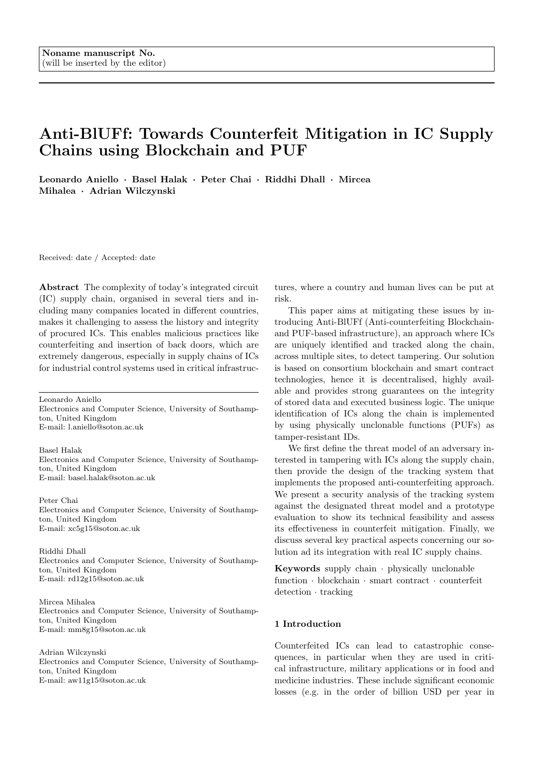# Anti-BlUFf: Towards Counterfeit Mitigation in IC Supply Chains using Blockchain and PUF

Leonardo Aniello · Basel Halak · Peter Chai · Riddhi Dhall · Mircea Mihalea · Adrian Wilczynski

Received: date / Accepted: date

Abstract The complexity of today's integrated circuit (IC) supply chain, organised in several tiers and including many companies located in different countries, makes it challenging to assess the history and integrity of procured ICs. This enables malicious practices like counterfeiting and insertion of back doors, which are extremely dangerous, especially in supply chains of ICs for industrial control systems used in critical infrastruc-

Leonardo Aniello Electronics and Computer Science, University of Southampton, United Kingdom E-mail: l.aniello@soton.ac.uk

Basel Halak Electronics and Computer Science, University of Southampton, United Kingdom E-mail: basel.halak@soton.ac.uk

Peter Chai Electronics and Computer Science, University of Southampton, United Kingdom E-mail: xc5g15@soton.ac.uk

Riddhi Dhall Electronics and Computer Science, University of Southampton, United Kingdom E-mail: rd12g15@soton.ac.uk

Mircea Mihalea Electronics and Computer Science, University of Southampton, United Kingdom E-mail: mm8g15@soton.ac.uk

Adrian Wilczynski Electronics and Computer Science, University of Southampton, United Kingdom E-mail: aw11g15@soton.ac.uk

tures, where a country and human lives can be put at risk.

This paper aims at mitigating these issues by introducing Anti-BlUFf (Anti-counterfeiting Blockchainand PUF-based infrastructure), an approach where ICs are uniquely identified and tracked along the chain, across multiple sites, to detect tampering. Our solution is based on consortium blockchain and smart contract technologies, hence it is decentralised, highly available and provides strong guarantees on the integrity of stored data and executed business logic. The unique identification of ICs along the chain is implemented by using physically unclonable functions (PUFs) as tamper-resistant IDs.

We first define the threat model of an adversary interested in tampering with ICs along the supply chain, then provide the design of the tracking system that implements the proposed anti-counterfeiting approach. We present a security analysis of the tracking system against the designated threat model and a prototype evaluation to show its technical feasibility and assess its effectiveness in counterfeit mitigation. Finally, we discuss several key practical aspects concerning our solution ad its integration with real IC supply chains.

Keywords supply chain  $\cdot$  physically unclonable function · blockchain · smart contract · counterfeit detection · tracking

# 1 Introduction

Counterfeited ICs can lead to catastrophic consequences, in particular when they are used in critical infrastructure, military applications or in food and medicine industries. These include significant economic losses (e.g. in the order of billion USD per year in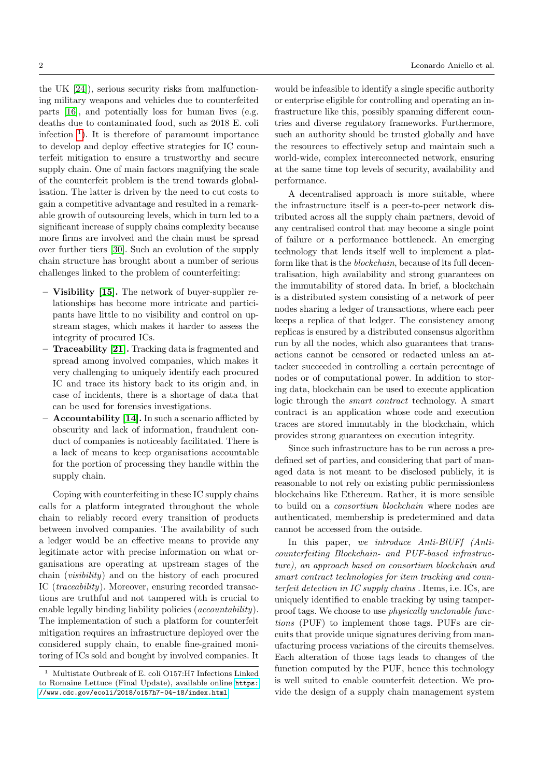the UK [\[24\]](#page-17-0)), serious security risks from malfunctioning military weapons and vehicles due to counterfeited parts [\[16\]](#page-17-1), and potentially loss for human lives (e.g. deaths due to contaminated food, such as 2018 E. coli infection  $\frac{1}{1}$  $\frac{1}{1}$  $\frac{1}{1}$ . It is therefore of paramount importance to develop and deploy effective strategies for IC counterfeit mitigation to ensure a trustworthy and secure supply chain. One of main factors magnifying the scale of the counterfeit problem is the trend towards globalisation. The latter is driven by the need to cut costs to gain a competitive advantage and resulted in a remarkable growth of outsourcing levels, which in turn led to a significant increase of supply chains complexity because more firms are involved and the chain must be spread over further tiers [\[30\]](#page-17-2). Such an evolution of the supply chain structure has brought about a number of serious challenges linked to the problem of counterfeiting:

- Visibility [\[15\]](#page-16-0). The network of buyer-supplier relationships has become more intricate and participants have little to no visibility and control on upstream stages, which makes it harder to assess the integrity of procured ICs.
- Traceability [\[21\]](#page-17-3). Tracking data is fragmented and spread among involved companies, which makes it very challenging to uniquely identify each procured IC and trace its history back to its origin and, in case of incidents, there is a shortage of data that can be used for forensics investigations.
- Accountability [\[14\]](#page-16-1). In such a scenario afflicted by obscurity and lack of information, fraudulent conduct of companies is noticeably facilitated. There is a lack of means to keep organisations accountable for the portion of processing they handle within the supply chain.

Coping with counterfeiting in these IC supply chains calls for a platform integrated throughout the whole chain to reliably record every transition of products between involved companies. The availability of such a ledger would be an effective means to provide any legitimate actor with precise information on what organisations are operating at upstream stages of the chain (visibility) and on the history of each procured IC (traceability). Moreover, ensuring recorded transactions are truthful and not tampered with is crucial to enable legally binding liability policies (accountability). The implementation of such a platform for counterfeit mitigation requires an infrastructure deployed over the considered supply chain, to enable fine-grained monitoring of ICs sold and bought by involved companies. It

would be infeasible to identify a single specific authority or enterprise eligible for controlling and operating an infrastructure like this, possibly spanning different countries and diverse regulatory frameworks. Furthermore, such an authority should be trusted globally and have the resources to effectively setup and maintain such a world-wide, complex interconnected network, ensuring at the same time top levels of security, availability and performance.

A decentralised approach is more suitable, where the infrastructure itself is a peer-to-peer network distributed across all the supply chain partners, devoid of any centralised control that may become a single point of failure or a performance bottleneck. An emerging technology that lends itself well to implement a platform like that is the blockchain, because of its full decentralisation, high availability and strong guarantees on the immutability of stored data. In brief, a blockchain is a distributed system consisting of a network of peer nodes sharing a ledger of transactions, where each peer keeps a replica of that ledger. The consistency among replicas is ensured by a distributed consensus algorithm run by all the nodes, which also guarantees that transactions cannot be censored or redacted unless an attacker succeeded in controlling a certain percentage of nodes or of computational power. In addition to storing data, blockchain can be used to execute application logic through the smart contract technology. A smart contract is an application whose code and execution traces are stored immutably in the blockchain, which provides strong guarantees on execution integrity.

Since such infrastructure has to be run across a predefined set of parties, and considering that part of managed data is not meant to be disclosed publicly, it is reasonable to not rely on existing public permissionless blockchains like Ethereum. Rather, it is more sensible to build on a consortium blockchain where nodes are authenticated, membership is predetermined and data cannot be accessed from the outside.

In this paper, we introduce Anti-BlUFf (Anticounterfeiting Blockchain- and PUF-based infrastructure), an approach based on consortium blockchain and smart contract technologies for item tracking and counterfeit detection in IC supply chains . Items, i.e. ICs, are uniquely identified to enable tracking by using tamperproof tags. We choose to use physically unclonable functions (PUF) to implement those tags. PUFs are circuits that provide unique signatures deriving from manufacturing process variations of the circuits themselves. Each alteration of those tags leads to changes of the function computed by the PUF, hence this technology is well suited to enable counterfeit detection. We provide the design of a supply chain management system

<span id="page-1-0"></span><sup>1</sup> Multistate Outbreak of E. coli O157:H7 Infections Linked to Romaine Lettuce (Final Update), available online [https:](https://www.cdc.gov/ecoli/2018/o157h7-04-18/index.html) [//www.cdc.gov/ecoli/2018/o157h7-04-18/index.html](https://www.cdc.gov/ecoli/2018/o157h7-04-18/index.html)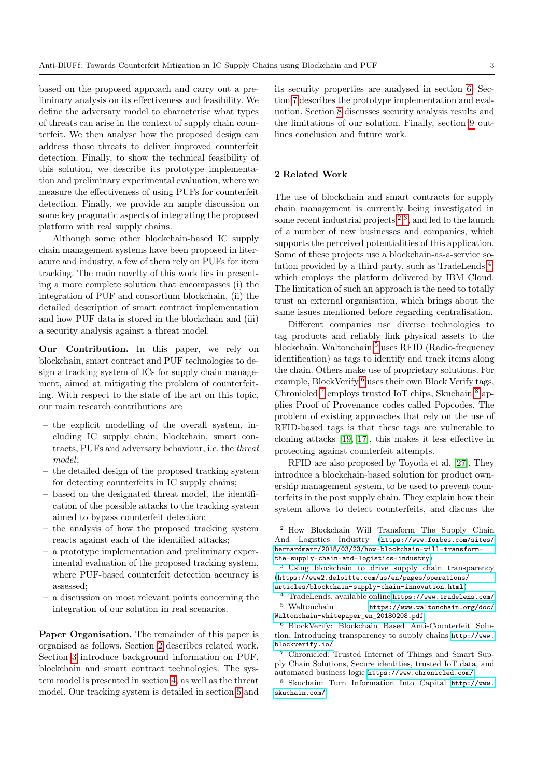based on the proposed approach and carry out a preliminary analysis on its effectiveness and feasibility. We define the adversary model to characterise what types of threats can arise in the context of supply chain counterfeit. We then analyse how the proposed design can address those threats to deliver improved counterfeit detection. Finally, to show the technical feasibility of this solution, we describe its prototype implementation and preliminary experimental evaluation, where we measure the effectiveness of using PUFs for counterfeit detection. Finally, we provide an ample discussion on some key pragmatic aspects of integrating the proposed platform with real supply chains.

Although some other blockchain-based IC supply chain management systems have been proposed in literature and industry, a few of them rely on PUFs for item tracking. The main novelty of this work lies in presenting a more complete solution that encompasses (i) the integration of PUF and consortium blockchain, (ii) the detailed description of smart contract implementation and how PUF data is stored in the blockchain and (iii) a security analysis against a threat model.

Our Contribution. In this paper, we rely on blockchain, smart contract and PUF technologies to design a tracking system of ICs for supply chain management, aimed at mitigating the problem of counterfeiting. With respect to the state of the art on this topic, our main research contributions are

- the explicit modelling of the overall system, including IC supply chain, blockchain, smart contracts, PUFs and adversary behaviour, i.e. the threat model;
- the detailed design of the proposed tracking system for detecting counterfeits in IC supply chains;
- based on the designated threat model, the identification of the possible attacks to the tracking system aimed to bypass counterfeit detection;
- the analysis of how the proposed tracking system reacts against each of the identified attacks;
- a prototype implementation and preliminary experimental evaluation of the proposed tracking system, where PUF-based counterfeit detection accuracy is assessed;
- a discussion on most relevant points concerning the integration of our solution in real scenarios.

Paper Organisation. The remainder of this paper is organised as follows. Section [2](#page-2-0) describes related work. Section [3](#page-3-0) introduce background information on PUF, blockchain and smart contract technologies. The system model is presented in section [4,](#page-5-0) as well as the threat model. Our tracking system is detailed in section [5](#page-7-0) and its security properties are analysed in section [6.](#page-11-0) Section [7](#page-12-0) describes the prototype implementation and evaluation. Section [8](#page-13-0) discusses security analysis results and the limitations of our solution. Finally, section [9](#page-15-0) outlines conclusion and future work.

# <span id="page-2-0"></span>2 Related Work

The use of blockchain and smart contracts for supply chain management is currently being investigated in some recent industrial projects  $2<sup>3</sup>$  $2<sup>3</sup>$ , and led to the launch of a number of new businesses and companies, which supports the perceived potentialities of this application. Some of these projects use a blockchain-as-a-service so-lution provided by a third party, such as TradeLends<sup>[4](#page-2-3)</sup>, which employs the platform delivered by IBM Cloud. The limitation of such an approach is the need to totally trust an external organisation, which brings about the same issues mentioned before regarding centralisation.

Different companies use diverse technologies to tag products and reliably link physical assets to the blockchain. Waltonchain [5](#page-2-4) uses RFID (Radio-frequency identification) as tags to identify and track items along the chain. Others make use of proprietary solutions. For example, BlockVerify [6](#page-2-5) uses their own Block Verify tags, Chronicled <sup>[7](#page-2-6)</sup> employs trusted IoT chips, Skuchain <sup>[8](#page-2-7)</sup> applies Proof of Provenance codes called Popcodes. The problem of existing approaches that rely on the use of RFID-based tags is that these tags are vulnerable to cloning attacks [\[19,](#page-17-4) [17\]](#page-17-5), this makes it less effective in protecting against counterfeit attempts.

RFID are also proposed by Toyoda et al. [\[27\]](#page-17-6). They introduce a blockchain-based solution for product ownership management system, to be used to prevent counterfeits in the post supply chain. They explain how their system allows to detect counterfeits, and discuss the

<span id="page-2-1"></span><sup>2</sup> How Blockchain Will Transform The Supply Chain And Logistics Industry ([https://www.forbes.com/sites/](https://www.forbes.com/sites/bernardmarr/2018/03/23/how-blockchain-will-transform-the-supply-chain-and-logistics-industry) [bernardmarr/2018/03/23/how-blockchain-will-transform](https://www.forbes.com/sites/bernardmarr/2018/03/23/how-blockchain-will-transform-the-supply-chain-and-logistics-industry)[the-supply-chain-and-logistics-industry](https://www.forbes.com/sites/bernardmarr/2018/03/23/how-blockchain-will-transform-the-supply-chain-and-logistics-industry))

<span id="page-2-2"></span><sup>3</sup> Using blockchain to drive supply chain transparency ([https://www2.deloitte.com/us/en/pages/operations/](https://www2.deloitte.com/us/en/pages/operations/articles/blockchain-supply-chain-innovation.html)

[articles/blockchain-supply-chain-innovation.html](https://www2.deloitte.com/us/en/pages/operations/articles/blockchain-supply-chain-innovation.html))

<span id="page-2-4"></span><span id="page-2-3"></span><sup>4</sup> TradeLends, available online <https://www.tradelens.com/> <sup>5</sup> Waltonchain [https://www.waltonchain.org/doc/](https://www.waltonchain.org/doc/Waltonchain-whitepaper_en_20180208.pdf) [Waltonchain-whitepaper\\_en\\_20180208.pdf](https://www.waltonchain.org/doc/Waltonchain-whitepaper_en_20180208.pdf)

<span id="page-2-5"></span><sup>6</sup> BlockVerify: Blockchain Based Anti-Counterfeit Solution, Introducing transparency to supply chains [http://www.](http://www.blockverify.io/) [blockverify.io/](http://www.blockverify.io/)

<span id="page-2-6"></span><sup>7</sup> Chronicled: Trusted Internet of Things and Smart Supply Chain Solutions, Secure identities, trusted IoT data, and automated business logic <https://www.chronicled.com/>

<span id="page-2-7"></span><sup>8</sup> Skuchain: Turn Information Into Capital [http://www.](http://www.skuchain.com/) [skuchain.com/](http://www.skuchain.com/)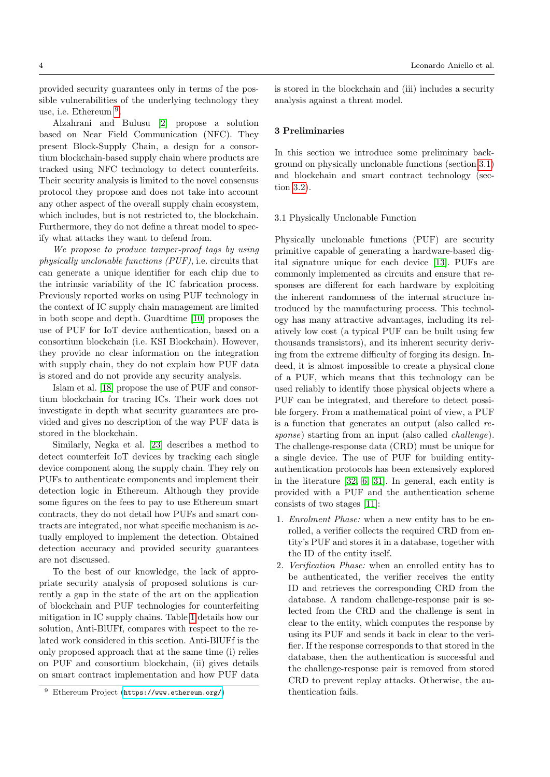provided security guarantees only in terms of the possible vulnerabilities of the underlying technology they use, i.e. Ethereum <sup>[9](#page-3-1)</sup>.

Alzahrani and Bulusu [\[2\]](#page-16-2) propose a solution based on Near Field Communication (NFC). They present Block-Supply Chain, a design for a consortium blockchain-based supply chain where products are tracked using NFC technology to detect counterfeits. Their security analysis is limited to the novel consensus protocol they propose and does not take into account any other aspect of the overall supply chain ecosystem, which includes, but is not restricted to, the blockchain. Furthermore, they do not define a threat model to specify what attacks they want to defend from.

We propose to produce tamper-proof tags by using physically unclonable functions (PUF), i.e. circuits that can generate a unique identifier for each chip due to the intrinsic variability of the IC fabrication process. Previously reported works on using PUF technology in the context of IC supply chain management are limited in both scope and depth. Guardtime [\[10\]](#page-16-3) proposes the use of PUF for IoT device authentication, based on a consortium blockchain (i.e. KSI Blockchain). However, they provide no clear information on the integration with supply chain, they do not explain how PUF data is stored and do not provide any security analysis.

Islam et al. [\[18\]](#page-17-7) propose the use of PUF and consortium blockchain for tracing ICs. Their work does not investigate in depth what security guarantees are provided and gives no description of the way PUF data is stored in the blockchain.

Similarly, Negka et al. [\[23\]](#page-17-8) describes a method to detect counterfeit IoT devices by tracking each single device component along the supply chain. They rely on PUFs to authenticate components and implement their detection logic in Ethereum. Although they provide some figures on the fees to pay to use Ethereum smart contracts, they do not detail how PUFs and smart contracts are integrated, nor what specific mechanism is actually employed to implement the detection. Obtained detection accuracy and provided security guarantees are not discussed.

To the best of our knowledge, the lack of appropriate security analysis of proposed solutions is currently a gap in the state of the art on the application of blockchain and PUF technologies for counterfeiting mitigation in IC supply chains. Table [1](#page-4-0) details how our solution, Anti-BlUFf, compares with respect to the related work considered in this section. Anti-BlUFf is the only proposed approach that at the same time (i) relies on PUF and consortium blockchain, (ii) gives details on smart contract implementation and how PUF data is stored in the blockchain and (iii) includes a security analysis against a threat model.

# <span id="page-3-0"></span>3 Preliminaries

In this section we introduce some preliminary background on physically unclonable functions (section [3.1\)](#page-3-2) and blockchain and smart contract technology (section [3.2\)](#page-4-1).

#### <span id="page-3-2"></span>3.1 Physically Unclonable Function

Physically unclonable functions (PUF) are security primitive capable of generating a hardware-based digital signature unique for each device [\[13\]](#page-16-4). PUFs are commonly implemented as circuits and ensure that responses are different for each hardware by exploiting the inherent randomness of the internal structure introduced by the manufacturing process. This technology has many attractive advantages, including its relatively low cost (a typical PUF can be built using few thousands transistors), and its inherent security deriving from the extreme difficulty of forging its design. Indeed, it is almost impossible to create a physical clone of a PUF, which means that this technology can be used reliably to identify those physical objects where a PUF can be integrated, and therefore to detect possible forgery. From a mathematical point of view, a PUF is a function that generates an output (also called response) starting from an input (also called *challenge*). The challenge-response data (CRD) must be unique for a single device. The use of PUF for building entityauthentication protocols has been extensively explored in the literature [\[32,](#page-17-9) [6,](#page-16-5) [31\]](#page-17-10). In general, each entity is provided with a PUF and the authentication scheme consists of two stages [\[11\]](#page-16-6):

- 1. Enrolment Phase: when a new entity has to be enrolled, a verifier collects the required CRD from entity's PUF and stores it in a database, together with the ID of the entity itself.
- 2. Verification Phase: when an enrolled entity has to be authenticated, the verifier receives the entity ID and retrieves the corresponding CRD from the database. A random challenge-response pair is selected from the CRD and the challenge is sent in clear to the entity, which computes the response by using its PUF and sends it back in clear to the verifier. If the response corresponds to that stored in the database, then the authentication is successful and the challenge-response pair is removed from stored CRD to prevent replay attacks. Otherwise, the authentication fails.

<span id="page-3-1"></span><sup>9</sup> Ethereum Project (<https://www.ethereum.org/>)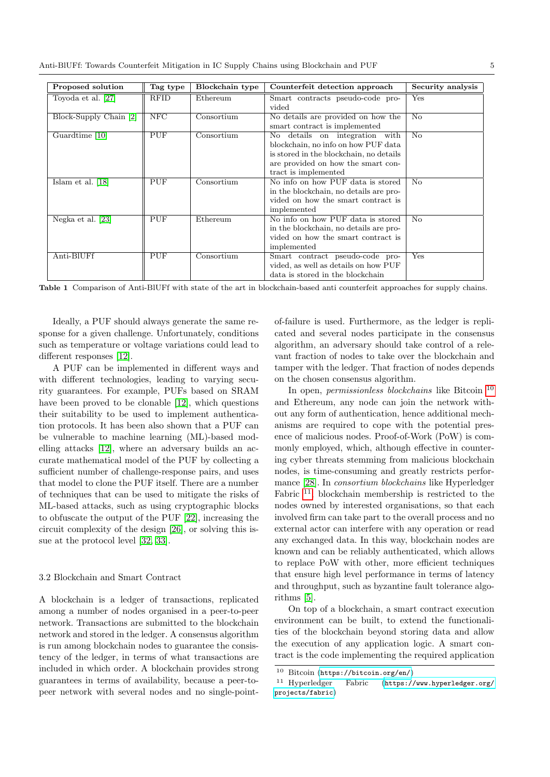| Proposed solution      | Tag type    | Blockchain type | Counterfeit detection approach          | Security analysis |
|------------------------|-------------|-----------------|-----------------------------------------|-------------------|
| Toyoda et al. [27]     | <b>RFID</b> | Ethereum        | Smart contracts pseudo-code pro-        | Yes               |
|                        |             |                 | vided                                   |                   |
| Block-Supply Chain [2] | NFC         | Consortium      | No details are provided on how the      | $\rm No$          |
|                        |             |                 | smart contract is implemented           |                   |
| Guardtime [10]         | PUF         | Consortium      | No details on integration with          | $\rm No$          |
|                        |             |                 | blockchain, no info on how PUF data     |                   |
|                        |             |                 | is stored in the blockchain, no details |                   |
|                        |             |                 | are provided on how the smart con-      |                   |
|                        |             |                 | tract is implemented                    |                   |
| Islam et al. $[18]$    | PUF         | Consortium      | No info on how PUF data is stored       | $\rm No$          |
|                        |             |                 | in the blockchain, no details are pro-  |                   |
|                        |             |                 | vided on how the smart contract is      |                   |
|                        |             |                 | implemented                             |                   |
| Negka et al. [23]      | PUF         | Ethereum        | No info on how PUF data is stored       | $\rm No$          |
|                        |             |                 | in the blockchain, no details are pro-  |                   |
|                        |             |                 | vided on how the smart contract is      |                   |
|                        |             |                 | implemented                             |                   |
| Anti-BlUFf             | PUF         | Consortium      | Smart contract pseudo-code pro-         | Yes               |
|                        |             |                 | vided, as well as details on how PUF    |                   |
|                        |             |                 | data is stored in the blockchain        |                   |

Table 1 Comparison of Anti-BlUFf with state of the art in blockchain-based anti counterfeit approaches for supply chains.

Ideally, a PUF should always generate the same response for a given challenge. Unfortunately, conditions such as temperature or voltage variations could lead to different responses [\[12\]](#page-16-7).

A PUF can be implemented in different ways and with different technologies, leading to varying security guarantees. For example, PUFs based on SRAM have been proved to be clonable [\[12\]](#page-16-7), which questions their suitability to be used to implement authentication protocols. It has been also shown that a PUF can be vulnerable to machine learning (ML)-based modelling attacks [\[12\]](#page-16-7), where an adversary builds an accurate mathematical model of the PUF by collecting a sufficient number of challenge-response pairs, and uses that model to clone the PUF itself. There are a number of techniques that can be used to mitigate the risks of ML-based attacks, such as using cryptographic blocks to obfuscate the output of the PUF [\[22\]](#page-17-11), increasing the circuit complexity of the design [\[26\]](#page-17-12), or solving this issue at the protocol level [\[32,](#page-17-9) [33\]](#page-17-13).

# <span id="page-4-1"></span>3.2 Blockchain and Smart Contract

A blockchain is a ledger of transactions, replicated among a number of nodes organised in a peer-to-peer network. Transactions are submitted to the blockchain network and stored in the ledger. A consensus algorithm is run among blockchain nodes to guarantee the consistency of the ledger, in terms of what transactions are included in which order. A blockchain provides strong guarantees in terms of availability, because a peer-topeer network with several nodes and no single-point<span id="page-4-0"></span>of-failure is used. Furthermore, as the ledger is replicated and several nodes participate in the consensus algorithm, an adversary should take control of a relevant fraction of nodes to take over the blockchain and tamper with the ledger. That fraction of nodes depends on the chosen consensus algorithm.

In open, *permissionless blockchains* like Bitcoin<sup>[10](#page-4-2)</sup> and Ethereum, any node can join the network without any form of authentication, hence additional mechanisms are required to cope with the potential presence of malicious nodes. Proof-of-Work (PoW) is commonly employed, which, although effective in countering cyber threats stemming from malicious blockchain nodes, is time-consuming and greatly restricts performance [\[28\]](#page-17-14). In consortium blockchains like Hyperledger Fabric  $11$ , blockchain membership is restricted to the nodes owned by interested organisations, so that each involved firm can take part to the overall process and no external actor can interfere with any operation or read any exchanged data. In this way, blockchain nodes are known and can be reliably authenticated, which allows to replace PoW with other, more efficient techniques that ensure high level performance in terms of latency and throughput, such as byzantine fault tolerance algorithms [\[5\]](#page-16-8).

On top of a blockchain, a smart contract execution environment can be built, to extend the functionalities of the blockchain beyond storing data and allow the execution of any application logic. A smart contract is the code implementing the required application

<span id="page-4-2"></span><sup>&</sup>lt;sup>10</sup> Bitcoin (<https://bitcoin.org/en/>)<br><sup>11</sup> Hyperledger Fabric (https://

<span id="page-4-3"></span>Fabric ([https://www.hyperledger.org/](https://www.hyperledger.org/projects/fabric) [projects/fabric](https://www.hyperledger.org/projects/fabric))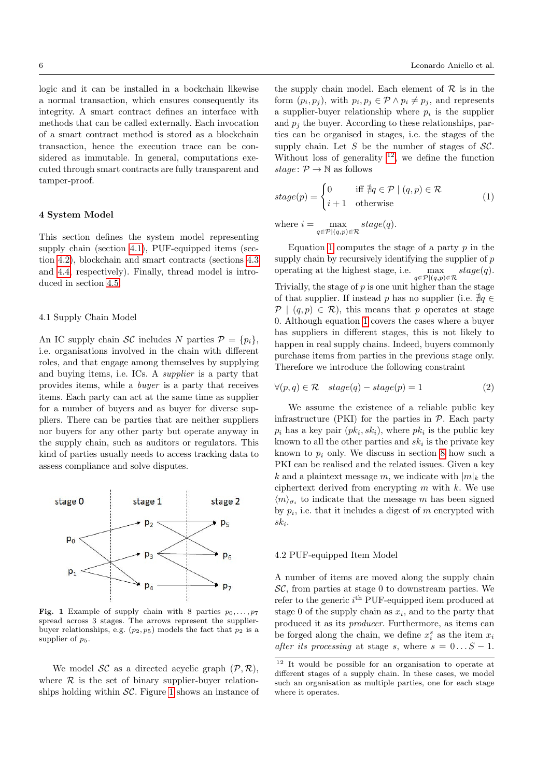logic and it can be installed in a bockchain likewise a normal transaction, which ensures consequently its integrity. A smart contract defines an interface with methods that can be called externally. Each invocation of a smart contract method is stored as a blockchain transaction, hence the execution trace can be considered as immutable. In general, computations executed through smart contracts are fully transparent and tamper-proof.

#### <span id="page-5-0"></span>4 System Model

This section defines the system model representing supply chain (section [4.1\)](#page-5-1), PUF-equipped items (section [4.2\)](#page-5-2), blockchain and smart contracts (sections [4.3](#page-6-0) and [4.4,](#page-6-1) respectively). Finally, thread model is introduced in section [4.5.](#page-7-1)

# <span id="page-5-1"></span>4.1 Supply Chain Model

An IC supply chain  $\mathcal{SC}$  includes N parties  $\mathcal{P} = \{p_i\},\$ i.e. organisations involved in the chain with different roles, and that engage among themselves by supplying and buying items, i.e. ICs. A supplier is a party that provides items, while a buyer is a party that receives items. Each party can act at the same time as supplier for a number of buyers and as buyer for diverse suppliers. There can be parties that are neither suppliers nor buyers for any other party but operate anyway in the supply chain, such as auditors or regulators. This kind of parties usually needs to access tracking data to assess compliance and solve disputes.



Fig. 1 Example of supply chain with 8 parties  $p_0, \ldots, p_7$ spread across 3 stages. The arrows represent the supplierbuyer relationships, e.g.  $(p_2, p_5)$  models the fact that  $p_2$  is a supplier of  $p_5$ .

We model  $SC$  as a directed acyclic graph  $(\mathcal{P}, \mathcal{R})$ , where  $R$  is the set of binary supplier-buyer relationships holding within  $\mathcal{SC}$ . Figure [1](#page-5-3) shows an instance of

the supply chain model. Each element of  $\mathcal R$  is in the form  $(p_i, p_j)$ , with  $p_i, p_j \in \mathcal{P} \land p_i \neq p_j$ , and represents a supplier-buyer relationship where  $p_i$  is the supplier and  $p_i$  the buyer. According to these relationships, parties can be organised in stages, i.e. the stages of the supply chain. Let  $S$  be the number of stages of  $SC$ . Without loss of generality  $12$ , we define the function stage:  $\mathcal{P} \rightarrow \mathbb{N}$  as follows

<span id="page-5-5"></span>
$$
stage(p) = \begin{cases} 0 & \text{iff } \nexists q \in \mathcal{P} \mid (q, p) \in \mathcal{R} \\ i + 1 & \text{otherwise} \end{cases} \tag{1}
$$

where  $i = \max_{q \in \mathcal{P} | (q,p) \in \mathcal{R}} stage(q)$ .

Equation [1](#page-5-5) computes the stage of a party  $p$  in the supply chain by recursively identifying the supplier of  $p$ operating at the highest stage, i.e.  $\max_{q \in \mathcal{P} | (q,p) \in \mathcal{R}} stage(q).$ Trivially, the stage of  $p$  is one unit higher than the stage of that supplier. If instead p has no supplier (i.e.  $\nexists q \in \mathbb{R}$  $\mathcal{P}$  |  $(q, p) \in \mathcal{R}$ ), this means that p operates at stage 0. Although equation [1](#page-5-5) covers the cases where a buyer has suppliers in different stages, this is not likely to happen in real supply chains. Indeed, buyers commonly purchase items from parties in the previous stage only. Therefore we introduce the following constraint

$$
\forall (p,q) \in \mathcal{R} \quad stage(q) - stage(p) = 1 \tag{2}
$$

We assume the existence of a reliable public key infrastructure (PKI) for the parties in  $P$ . Each party  $p_i$  has a key pair  $(pk_i, sk_i)$ , where  $pk_i$  is the public key known to all the other parties and  $sk_i$  is the private key known to  $p_i$  only. We discuss in section [8](#page-13-0) how such a PKI can be realised and the related issues. Given a key k and a plaintext message m, we indicate with  $|m|_k$  the ciphertext derived from encrypting  $m$  with  $k$ . We use  $\langle m \rangle_{\sigma_i}$  to indicate that the message m has been signed by  $p_i$ , i.e. that it includes a digest of m encrypted with  $sk_i$ .

# <span id="page-5-2"></span>4.2 PUF-equipped Item Model

<span id="page-5-3"></span>A number of items are moved along the supply chain  $\mathcal{SC}$ , from parties at stage 0 to downstream parties. We refer to the generic  $i^{\text{th}}$  PUF-equipped item produced at stage 0 of the supply chain as  $x_i$ , and to the party that produced it as its producer. Furthermore, as items can be forged along the chain, we define  $x_i^s$  as the item  $x_i$ after its processing at stage s, where  $s = 0...S - 1$ .

<span id="page-5-4"></span><sup>12</sup> It would be possible for an organisation to operate at different stages of a supply chain. In these cases, we model such an organisation as multiple parties, one for each stage where it operates.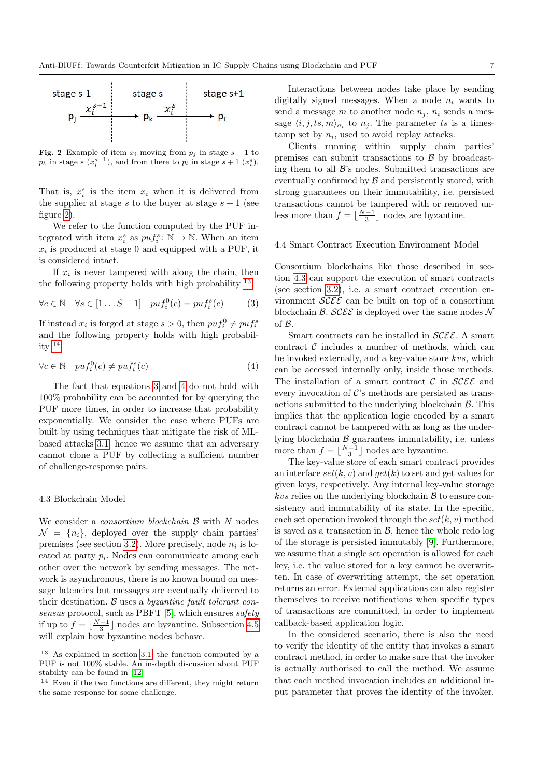

Fig. 2 Example of item  $x_i$  moving from  $p_i$  in stage  $s - 1$  to  $p_k$  in stage  $s\left(x_i^{s-1}\right)$ , and from there to  $p_l$  in stage  $s+1\left(x_i^s\right)$ .

That is,  $x_i^s$  is the item  $x_i$  when it is delivered from the supplier at stage s to the buyer at stage  $s + 1$  (see figure [2\)](#page-6-2).

We refer to the function computed by the PUF integrated with item  $x_i^s$  as  $\text{puf}_i^s : \mathbb{N} \to \mathbb{N}$ . When an item  $x_i$  is produced at stage 0 and equipped with a PUF, it is considered intact.

If  $x_i$  is never tampered with along the chain, then the following property holds with high probability [13](#page-6-3)

$$
\forall c \in \mathbb{N} \quad \forall s \in [1...S-1] \quad puf_i^0(c) = put_i^s(c) \tag{3}
$$

<span id="page-6-6"></span>If instead  $x_i$  is forged at stage  $s > 0$ , then  $puf_i^0 \neq puf_i^s$ and the following property holds with high probability [14](#page-6-4)

$$
\forall c \in \mathbb{N} \quad pu f_i^0(c) \neq pu f_i^s(c) \tag{4}
$$

The fact that equations [3](#page-6-5) and [4](#page-6-6) do not hold with 100% probability can be accounted for by querying the PUF more times, in order to increase that probability exponentially. We consider the case where PUFs are built by using techniques that mitigate the risk of MLbased attacks [3.1,](#page-3-2) hence we assume that an adversary cannot clone a PUF by collecting a sufficient number of challenge-response pairs.

# <span id="page-6-0"></span>4.3 Blockchain Model

We consider a *consortium blockchain*  $\beta$  with N nodes  $\mathcal{N} = \{n_i\}$ , deployed over the supply chain parties' premises (see section [3.2\)](#page-4-1). More precisely, node  $n_i$  is lo- $\alpha$  cated at party  $p_i$ . Nodes can communicate among each other over the network by sending messages. The network is asynchronous, there is no known bound on message latencies but messages are eventually delivered to their destination.  $\beta$  uses a *byzantine fault tolerant con*-sensus protocol, such as PBFT [\[5\]](#page-16-8), which ensures safety if up to  $f = \lfloor \frac{N-1}{3} \rfloor$  nodes are byzantine. Subsection [4.5](#page-7-1) will explain how byzantine nodes behave.

Interactions between nodes take place by sending digitally signed messages. When a node  $n_i$  wants to send a message m to another node  $n_i$ ,  $n_i$  sends a message  $\langle i, j, ts, m \rangle_{\sigma_i}$  to  $n_j$ . The parameter ts is a times- $\tanh$  set by  $n_i$ , used to avoid replay attacks.

<span id="page-6-2"></span>Clients running within supply chain parties' premises can submit transactions to  $\beta$  by broadcasting them to all  $\mathcal{B}$ 's nodes. Submitted transactions are eventually confirmed by  $\beta$  and persistently stored, with strong guarantees on their immutability, i.e. persisted transactions cannot be tampered with or removed unless more than  $f = \lfloor \frac{N-1}{3} \rfloor$  nodes are byzantine.

#### <span id="page-6-1"></span>4.4 Smart Contract Execution Environment Model

<span id="page-6-5"></span>Consortium blockchains like those described in section [4.3](#page-6-0) can support the execution of smart contracts (see section [3.2\)](#page-4-1), i.e. a smart contract execution environment  $\mathcal{SCE}$  can be built on top of a consortium blockchain  $\mathcal{B}$ .  $\mathcal{SCE}$  is deployed over the same nodes  $\mathcal N$ of  $\mathcal{B}$ .

Smart contracts can be installed in  $\mathcal{SCE}$ . A smart contract  $C$  includes a number of methods, which can be invoked externally, and a key-value store kvs, which can be accessed internally only, inside those methods. The installation of a smart contract  $\mathcal C$  in  $\mathcal{SCE}$  and every invocation of  $\mathcal{C}$ 's methods are persisted as transactions submitted to the underlying blockchain  $\beta$ . This implies that the application logic encoded by a smart contract cannot be tampered with as long as the underlying blockchain  $\beta$  guarantees immutability, i.e. unless more than  $f = \lfloor \frac{N-1}{3} \rfloor$  nodes are byzantine.

The key-value store of each smart contract provides an interface  $set(k, v)$  and  $get(k)$  to set and get values for given keys, respectively. Any internal key-value storage  $kvs$  relies on the underlying blockchain  $\beta$  to ensure consistency and immutability of its state. In the specific, each set operation invoked through the  $set(k, v)$  method is saved as a transaction in  $\beta$ , hence the whole redo log of the storage is persisted immutably [\[9\]](#page-16-9). Furthermore, we assume that a single set operation is allowed for each key, i.e. the value stored for a key cannot be overwritten. In case of overwriting attempt, the set operation returns an error. External applications can also register themselves to receive notifications when specific types of transactions are committed, in order to implement callback-based application logic.

In the considered scenario, there is also the need to verify the identity of the entity that invokes a smart contract method, in order to make sure that the invoker is actually authorised to call the method. We assume that each method invocation includes an additional input parameter that proves the identity of the invoker.

<span id="page-6-3"></span><sup>13</sup> As explained in section [3.1,](#page-3-2) the function computed by a PUF is not 100% stable. An in-depth discussion about PUF stability can be found in [\[12\]](#page-16-7)

<span id="page-6-4"></span><sup>14</sup> Even if the two functions are different, they might return the same response for some challenge.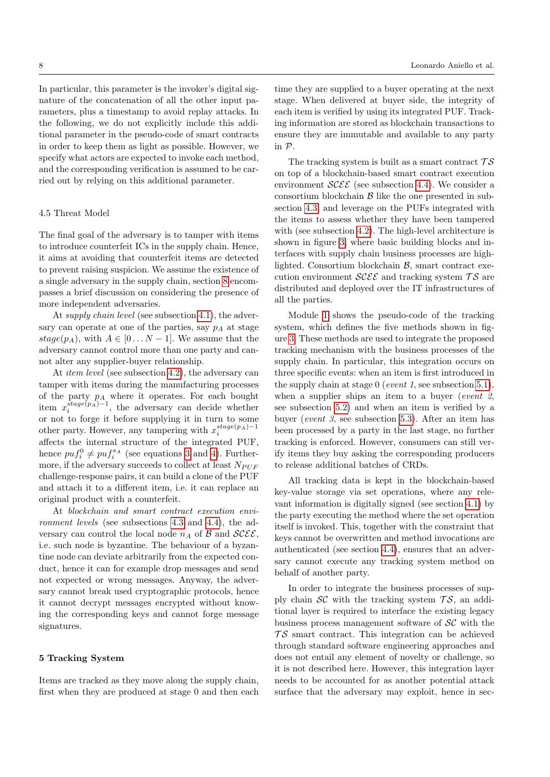In particular, this parameter is the invoker's digital signature of the concatenation of all the other input parameters, plus a timestamp to avoid replay attacks. In the following, we do not explicitly include this additional parameter in the pseudo-code of smart contracts in order to keep them as light as possible. However, we specify what actors are expected to invoke each method, and the corresponding verification is assumed to be carried out by relying on this additional parameter.

#### <span id="page-7-1"></span>4.5 Threat Model

The final goal of the adversary is to tamper with items to introduce counterfeit ICs in the supply chain. Hence, it aims at avoiding that counterfeit items are detected to prevent raising suspicion. We assume the existence of a single adversary in the supply chain, section [8](#page-13-0) encompasses a brief discussion on considering the presence of more independent adversaries.

At *supply chain level* (see subsection [4.1\)](#page-5-1), the adversary can operate at one of the parties, say  $p_A$  at stage stage(p<sub>A</sub>), with  $A \in [0...N-1]$ . We assume that the adversary cannot control more than one party and cannot alter any supplier-buyer relationship.

At *item level* (see subsection [4.2\)](#page-5-2), the adversary can tamper with items during the manufacturing processes of the party  $p_A$  where it operates. For each bought item  $x_i^{stage(p_A)-1}$ , the adversary can decide whether or not to forge it before supplying it in turn to some other party. However, any tampering with  $x_i^{stage(p_A)-1}$ affects the internal structure of the integrated PUF, hence  $puf_i^0 \neq puf_i^{s_A}$  (see equations [3](#page-6-5) and [4\)](#page-6-6). Furthermore, if the adversary succeeds to collect at least  $N_{PUF}$ challenge-response pairs, it can build a clone of the PUF and attach it to a different item, i.e. it can replace an original product with a counterfeit.

At blockchain and smart contract execution environment levels (see subsections [4.3](#page-6-0) and [4.4\)](#page-6-1), the adversary can control the local node  $n_A$  of B and  $\mathcal{SCE}$ , i.e. such node is byzantine. The behaviour of a byzantine node can deviate arbitrarily from the expected conduct, hence it can for example drop messages and send not expected or wrong messages. Anyway, the adversary cannot break used cryptographic protocols, hence it cannot decrypt messages encrypted without knowing the corresponding keys and cannot forge message signatures.

#### <span id="page-7-0"></span>5 Tracking System

Items are tracked as they move along the supply chain, first when they are produced at stage 0 and then each

time they are supplied to a buyer operating at the next stage. When delivered at buyer side, the integrity of each item is verified by using its integrated PUF. Tracking information are stored as blockchain transactions to ensure they are immutable and available to any party in P.

The tracking system is built as a smart contract  $TS$ on top of a blockchain-based smart contract execution environment  $\mathcal{SCE}$  (see subsection [4.4\)](#page-6-1). We consider a consortium blockchain  $\beta$  like the one presented in subsection [4.3,](#page-6-0) and leverage on the PUFs integrated with the items to assess whether they have been tampered with (see subsection [4.2\)](#page-5-2). The high-level architecture is shown in figure [3,](#page-8-0) where basic building blocks and interfaces with supply chain business processes are highlighted. Consortium blockchain  $\beta$ , smart contract execution environment  $\mathcal{SCE}$  and tracking system  $\mathcal{TS}$  are distributed and deployed over the IT infrastructures of all the parties.

Module [1](#page-9-0) shows the pseudo-code of the tracking system, which defines the five methods shown in figure [3.](#page-8-0) These methods are used to integrate the proposed tracking mechanism with the business processes of the supply chain. In particular, this integration occurs on three specific events: when an item is first introduced in the supply chain at stage  $0$  (event 1, see subsection [5.1\)](#page-8-1), when a supplier ships an item to a buyer (event  $2$ , see subsection [5.2\)](#page-8-2) and when an item is verified by a buyer (event 3, see subsection [5.3\)](#page-9-1). After an item has been processed by a party in the last stage, no further tracking is enforced. However, consumers can still verify items they buy asking the corresponding producers to release additional batches of CRDs.

All tracking data is kept in the blockchain-based key-value storage via set operations, where any relevant information is digitally signed (see section [4.1\)](#page-5-1) by the party executing the method where the set operation itself is invoked. This, together with the constraint that keys cannot be overwritten and method invocations are authenticated (see section [4.4\)](#page-6-1), ensures that an adversary cannot execute any tracking system method on behalf of another party.

In order to integrate the business processes of supply chain  $SC$  with the tracking system  $TS$ , an additional layer is required to interface the existing legacy business process management software of  $\mathcal{SC}$  with the  $\mathcal{TS}$  smart contract. This integration can be achieved through standard software engineering approaches and does not entail any element of novelty or challenge, so it is not described here. However, this integration layer needs to be accounted for as another potential attack surface that the adversary may exploit, hence in sec-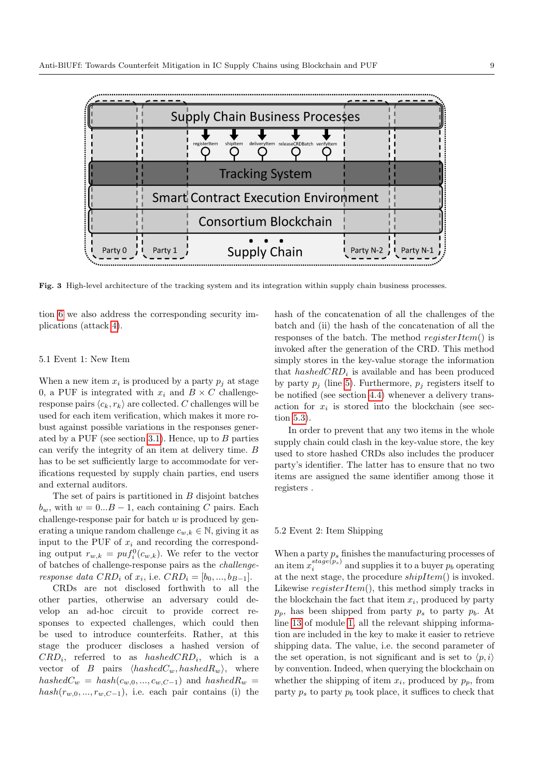

Fig. 3 High-level architecture of the tracking system and its integration within supply chain business processes.

tion [6](#page-11-0) we also address the corresponding security implications (attack [4\)](#page-11-1).

# <span id="page-8-1"></span>5.1 Event 1: New Item

When a new item  $x_i$  is produced by a party  $p_j$  at stage 0, a PUF is integrated with  $x_i$  and  $B \times C$  challengeresponse pairs  $\langle c_k, r_k \rangle$  are collected. C challenges will be used for each item verification, which makes it more robust against possible variations in the responses gener-ated by a PUF (see section [3.1\)](#page-3-2). Hence, up to  $B$  parties can verify the integrity of an item at delivery time. B has to be set sufficiently large to accommodate for verifications requested by supply chain parties, end users and external auditors.

The set of pairs is partitioned in  $B$  disjoint batches  $b_w$ , with  $w = 0...B - 1$ , each containing C pairs. Each challenge-response pair for batch  $w$  is produced by generating a unique random challenge  $c_{w,k} \in \mathbb{N}$ , giving it as input to the PUF of  $x_i$  and recording the corresponding output  $r_{w,k} = put_{i}^{0}(c_{w,k})$ . We refer to the vector of batches of challenge-response pairs as the challengeresponse data  $CRD_i$  of  $x_i$ , i.e.  $CRD_i = [b_0, ..., b_{B-1}].$ 

CRDs are not disclosed forthwith to all the other parties, otherwise an adversary could develop an ad-hoc circuit to provide correct responses to expected challenges, which could then be used to introduce counterfeits. Rather, at this stage the producer discloses a hashed version of  $CRD_i$ , referred to as  $hashed CRD_i$ , which is a vector of B pairs  $\langle \textit{hashedC}_w, \textit{hashedR}_w \rangle$ , where  $hashedC_w = hash(c_{w,0}, ..., c_{w,C-1})$  and  $hashedR_w =$  $hash(r_{w,0}, ..., r_{w,C-1}),$  i.e. each pair contains (i) the

<span id="page-8-0"></span>hash of the concatenation of all the challenges of the batch and (ii) the hash of the concatenation of all the responses of the batch. The method registerItem() is invoked after the generation of the CRD. This method simply stores in the key-value storage the information that  $hashed CRD_i$  is available and has been produced by party  $p_i$  (line [5\)](#page-9-0). Furthermore,  $p_i$  registers itself to be notified (see section [4.4\)](#page-6-1) whenever a delivery transaction for  $x_i$  is stored into the blockchain (see section [5.3\)](#page-9-1).

In order to prevent that any two items in the whole supply chain could clash in the key-value store, the key used to store hashed CRDs also includes the producer party's identifier. The latter has to ensure that no two items are assigned the same identifier among those it registers .

# <span id="page-8-2"></span>5.2 Event 2: Item Shipping

When a party  $p_s$  finishes the manufacturing processes of an item  $x_i^{stage(p_s)}$  and supplies it to a buyer  $p_b$  operating at the next stage, the procedure  $\mathit{shipItem}()$  is invoked. Likewise registerItem(), this method simply tracks in the blockchain the fact that item  $x_i$ , produced by party  $p_p$ , has been shipped from party  $p_s$  to party  $p_b$ . At line [13](#page-9-0) of module [1,](#page-9-0) all the relevant shipping information are included in the key to make it easier to retrieve shipping data. The value, i.e. the second parameter of the set operation, is not significant and is set to  $\langle p, i \rangle$ by convention. Indeed, when querying the blockchain on whether the shipping of item  $x_i$ , produced by  $p_p$ , from party  $p_s$  to party  $p_b$  took place, it suffices to check that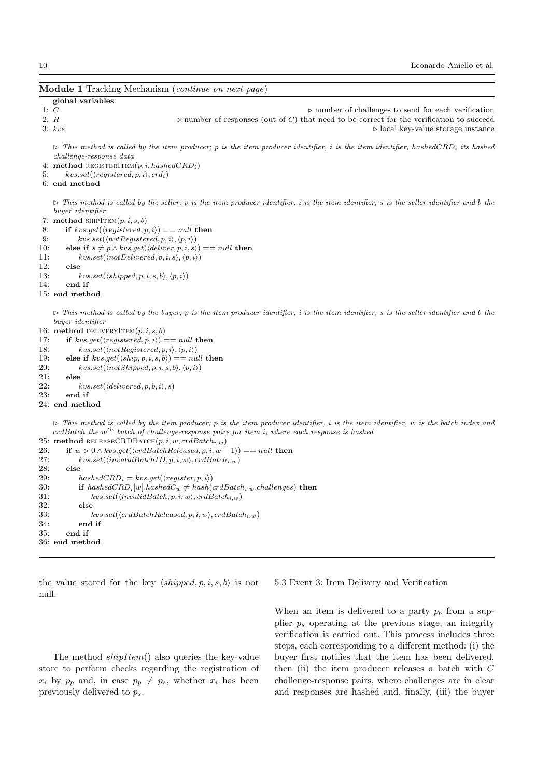Module 1 Tracking Mechanism (continue on next page)

#### <span id="page-9-0"></span>global variables:

- 
- 
- 

1:  $C$ <br>2:  $R$  b number of responses (out of  $C$ ) that need to be correct for the verification to succeed  $\triangleright$  number of responses (out of C) that need to be correct for the verification to succeed 3:  $kvs$  . local key-value storage instance

 $\triangleright$  This method is called by the item producer; p is the item producer identifier, i is the item identifier, hashedCRD<sub>i</sub> its hashed challenge-response data

- 4: method REGISTERITEM $(p, i, hashed CRD_i)$
- 5:  $kvs.set(\langle registered, p, i \rangle, crd_i)$

#### 6: end method

 $\triangleright$  This method is called by the seller; p is the item producer identifier, i is the item identifier, s is the seller identifier and b the buyer identifier

- 7: method  $SHIPITEM(p, i, s, b)$
- 8: if  $kvs.get(\langle registered, p, i \rangle) == null$  then
- 9:  $kvs.set(\langle notRegistered, p, i \rangle, \langle p, i \rangle)$
- 10: else if  $s \neq p \wedge kvs.get(\langle deliver, p, i, s \rangle) == null$  then
- 11:  $kvs.set(\langle notDelivered, p, i, s \rangle, \langle p, i \rangle)$
- 12: else

13:  $kvs.set(\langle shipped, p, i, s, b \rangle, \langle p, i \rangle)$ 

14: end if

#### 15: end method

 $\triangleright$  This method is called by the buyer; p is the item producer identifier, i is the item identifier, s is the seller identifier and b the buyer identifier

16: method DELIVERYITEM $(p, i, s, b)$ 17: if  $kvs.get(\langle registered, p, i \rangle) == null$  then 18:  $kvs.set(\langle notRejectered, p, i \rangle, \langle p, i \rangle)$ 19: else if  $kvs.get(\langle ship, p, i, s, b \rangle) == null$  then 20:  $kvs.set(\langle notShipped, p, i, s, b \rangle, \langle p, i \rangle)$ 21: else 22:  $kvs.set(\langle delivered, p, b, i \rangle, s)$ 23: end if 24: end method

 $\triangleright$  This method is called by the item producer; p is the item producer identifier, i is the item identifier, w is the batch index and crdBatch the  $w^{th}$  batch of challenge-response pairs for item i, where each response is hashed

```
25: method RELEASECRDBATCH(p, i, w, crdBatch_{i,w})26: if w > 0 \wedge kvs.get(\langle crdBatchReleased, p, i, w - 1 \rangle) == null then
27: kvs.set(\langle invalidBatchID, p, i, w \rangle, crdBatch_{i,w})<br>
28: else
        else
29: hashedCRD_i = kvs.get(\langle register, p, i \rangle)30: if hashed CRD_i[w].hashed C_w \neq hash(crdBatch_{i,w}.challenge) then
31: kvs.set(\langle invalidBatch, p, i, w \rangle, crdBatch_{i,w})<br>32. elseelse
33: kvs.set(\langle crdBatchReleased, p, i, w \rangle, crdBatch_{i,w})34 \cdot end if
35: end if
36: end method
```
the value stored for the key  $\langle shipped, p, i, s, b \rangle$  is not null.

The method  $\textit{shipItem}($ ) also queries the key-value store to perform checks regarding the registration of  $x_i$  by  $p_p$  and, in case  $p_p \neq p_s$ , whether  $x_i$  has been previously delivered to  $p_s$ .

<span id="page-9-1"></span>5.3 Event 3: Item Delivery and Verification

When an item is delivered to a party  $p_b$  from a supplier  $p_s$  operating at the previous stage, an integrity verification is carried out. This process includes three steps, each corresponding to a different method: (i) the buyer first notifies that the item has been delivered, then (ii) the item producer releases a batch with  $C$ challenge-response pairs, where challenges are in clear and responses are hashed and, finally, (iii) the buyer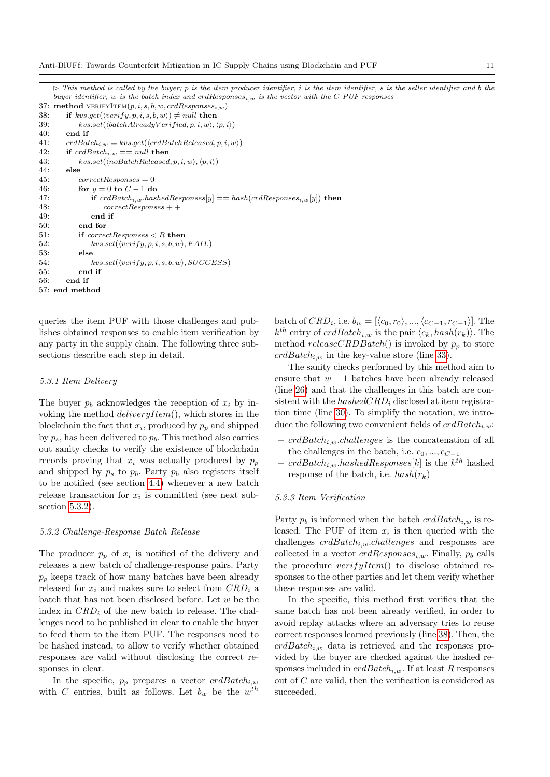$\triangleright$  This method is called by the buyer; p is the item producer identifier, i is the item identifier, s is the seller identifier and b the buyer identifier, w is the batch index and crdResponses<sub>i,w</sub> is the vector with the C PUF responses

```
37: method VERIFYITEM(p, i, s, b, w, crdResponse_{i, w})38: if kvs.get(\langle verify, p, i, s, b, w \rangle) \neq null then
39: kvs.set(\langle batchAlready Verified, p, i, w \rangle, \langle p, i \rangle)
40: end if
41: crdBatch_{i,w} = kvs.get({crdBatchReleased, p, i, w})42: if crdBatch_{i,w} == null then
43: kvs.set(\langle noBatchReleased, p, i, w \rangle, \langle p, i \rangle)44: else
45: correctResponses = 046: for y = 0 to C - 1 do
47: if crdBatch_{i,w}.hashedResponses[y] == hash(crdResponse_{i,w}[y]) then<br>48: correctResponses++correctResponses + +49: end if
50: end for
51: if correctResponse < R then
52: kvs.set(\langle verify, p, i, s, b, w \rangle, FAIL)53: else
54: kvs.set(\langle verify, p, i, s, b, w \rangle, SUCCESS)55: end if
56: end if
57: end method
```
queries the item PUF with those challenges and publishes obtained responses to enable item verification by any party in the supply chain. The following three subsections describe each step in detail.

# 5.3.1 Item Delivery

The buyer  $p_b$  acknowledges the reception of  $x_i$  by invoking the method  $deliveryItem()$ , which stores in the blockchain the fact that  $x_i$ , produced by  $p_p$  and shipped by  $p_s$ , has been delivered to  $p_b$ . This method also carries out sanity checks to verify the existence of blockchain records proving that  $x_i$  was actually produced by  $p_n$ and shipped by  $p_s$  to  $p_b$ . Party  $p_b$  also registers itself to be notified (see section [4.4\)](#page-6-1) whenever a new batch release transaction for  $x_i$  is committed (see next subsection [5.3.2\)](#page-10-0).

# <span id="page-10-0"></span>5.3.2 Challenge-Response Batch Release

The producer  $p_p$  of  $x_i$  is notified of the delivery and releases a new batch of challenge-response pairs. Party  $p_p$  keeps track of how many batches have been already released for  $x_i$  and makes sure to select from  $CRD_i$  a batch that has not been disclosed before. Let  $w$  be the index in  $CRD_i$  of the new batch to release. The challenges need to be published in clear to enable the buyer to feed them to the item PUF. The responses need to be hashed instead, to allow to verify whether obtained responses are valid without disclosing the correct responses in clear.

In the specific,  $p_p$  prepares a vector  $crdBatch_{i,w}$ with C entries, built as follows. Let  $b_w$  be the  $w^{th}$ 

batch of  $CRD_i$ , i.e.  $b_w = [\langle c_0, r_0 \rangle, ..., \langle c_{C-1}, r_{C-1} \rangle]$ . The  $k^{th}$  entry of crdBatch<sub>i,w</sub> is the pair  $\langle c_k, hash(r_k) \rangle$ . The method  $releaseCRDBatch()$  is invoked by  $p_p$  to store  $crdBatch_{i,w}$  in the key-value store (line [33\)](#page-9-0).

The sanity checks performed by this method aim to ensure that  $w - 1$  batches have been already released (line [26\)](#page-9-0) and that the challenges in this batch are consistent with the hashed  $CRD_i$  disclosed at item registration time (line [30\)](#page-9-0). To simplify the notation, we introduce the following two convenient fields of  $crdBatch_{i,w}:$ 

- $crdBatch_{i,w}.challenge$  is the concatenation of all the challenges in the batch, i.e.  $c_0, ..., c_{C-1}$
- $crdBatch_{i,w}.hashedRespones[k]$  is the  $k^{th}$  hashed response of the batch, i.e.  $hash(r_k)$

#### 5.3.3 Item Verification

Party  $p_b$  is informed when the batch  $crdBatch_{i,w}$  is released. The PUF of item  $x_i$  is then queried with the challenges  $crdBatch_{i,w}.challenges$  and responses are collected in a vector  $crdResponses_{i,w}$ . Finally,  $p_b$  calls the procedure  $verifyItem()$  to disclose obtained responses to the other parties and let them verify whether these responses are valid.

In the specific, this method first verifies that the same batch has not been already verified, in order to avoid replay attacks where an adversary tries to reuse correct responses learned previously (line [38\)](#page-9-0). Then, the  $crdBatch_{i,w}$  data is retrieved and the responses provided by the buyer are checked against the hashed responses included in  $crdBatch_{i,w}$ . If at least R responses out of C are valid, then the verification is considered as succeeded.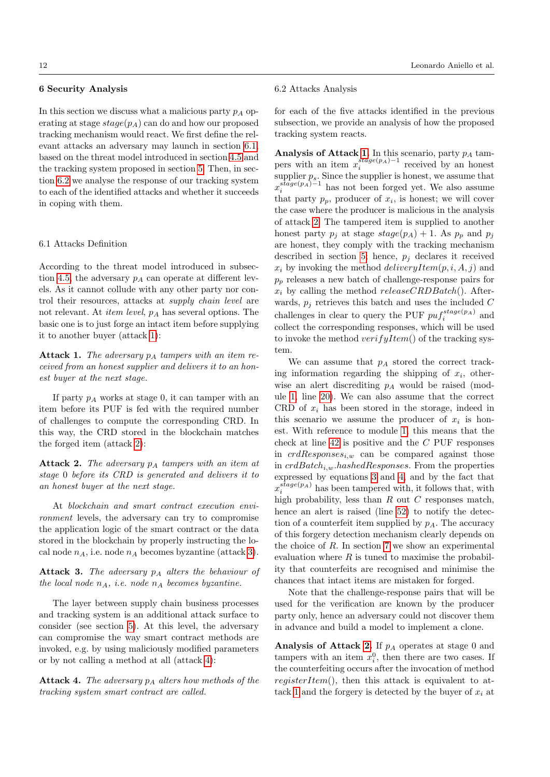# <span id="page-11-0"></span>6 Security Analysis

In this section we discuss what a malicious party  $p_A$  operating at stage  $stage(p_A)$  can do and how our proposed tracking mechanism would react. We first define the relevant attacks an adversary may launch in section [6.1,](#page-11-2) based on the threat model introduced in section [4.5](#page-7-1) and the tracking system proposed in section [5.](#page-7-0) Then, in section [6.2](#page-11-3) we analyse the response of our tracking system to each of the identified attacks and whether it succeeds in coping with them.

#### <span id="page-11-2"></span>6.1 Attacks Definition

According to the threat model introduced in subsec-tion [4.5,](#page-7-1) the adversary  $p_A$  can operate at different levels. As it cannot collude with any other party nor control their resources, attacks at supply chain level are not relevant. At *item level*,  $p_A$  has several options. The basic one is to just forge an intact item before supplying it to another buyer (attack [1\)](#page-11-4):

<span id="page-11-4"></span>**Attack 1.** The adversary  $p_A$  tampers with an item received from an honest supplier and delivers it to an honest buyer at the next stage.

If party  $p_A$  works at stage 0, it can tamper with an item before its PUF is fed with the required number of challenges to compute the corresponding CRD. In this way, the CRD stored in the blockchain matches the forged item (attack [2\)](#page-11-5):

<span id="page-11-5"></span>Attack 2. The adversary  $p_A$  tampers with an item at stage 0 before its CRD is generated and delivers it to an honest buyer at the next stage.

At blockchain and smart contract execution environment levels, the adversary can try to compromise the application logic of the smart contract or the data stored in the blockchain by properly instructing the local node  $n_A$ , i.e. node  $n_A$  becomes byzantine (attack [3\)](#page-11-6).

# <span id="page-11-6"></span>Attack 3. The adversary  $p_A$  alters the behaviour of the local node  $n_A$ , i.e. node  $n_A$  becomes byzantine.

The layer between supply chain business processes and tracking system is an additional attack surface to consider (see section [5\)](#page-7-0). At this level, the adversary can compromise the way smart contract methods are invoked, e.g. by using maliciously modified parameters or by not calling a method at all (attack [4\)](#page-11-1):

<span id="page-11-1"></span>**Attack 4.** The adversary  $p_A$  alters how methods of the tracking system smart contract are called.

#### 12 Leonardo Aniello et al.

#### <span id="page-11-3"></span>6.2 Attacks Analysis

for each of the five attacks identified in the previous subsection, we provide an analysis of how the proposed tracking system reacts.

Analysis of Attack [1.](#page-11-4) In this scenario, party  $p_A$  tampers with an item  $x_i^{stage(p_A)-1}$  received by an honest supplier  $p_s$ . Since the supplier is honest, we assume that  $x_i^{stage(p_A)-1}$  has not been forged yet. We also assume that party  $p_p$ , producer of  $x_i$ , is honest; we will cover the case where the producer is malicious in the analysis of attack [2.](#page-11-5) The tampered item is supplied to another honest party  $p_j$  at stage  $stage(p_A) + 1$ . As  $p_p$  and  $p_j$ are honest, they comply with the tracking mechanism described in section [5;](#page-7-0) hence,  $p_i$  declares it received  $x_i$  by invoking the method *deliveryItem* $(p, i, A, j)$  and  $p_p$  releases a new batch of challenge-response pairs for  $x_i$  by calling the method  $releaseCRDBatch()$ . Afterwards,  $p_i$  retrieves this batch and uses the included C challenges in clear to query the PUF  $\mathit{puf}_i^{stage(p_A)}$  and collect the corresponding responses, which will be used to invoke the method  $verifyItem()$  of the tracking system.

We can assume that  $p_A$  stored the correct tracking information regarding the shipping of  $x_i$ , otherwise an alert discrediting  $p_A$  would be raised (module [1,](#page-9-0) line [20\)](#page-9-0). We can also assume that the correct CRD of  $x_i$  has been stored in the storage, indeed in this scenario we assume the producer of  $x_i$  is honest. With reference to module [1,](#page-9-0) this means that the check at line [42](#page-9-0) is positive and the C PUF responses in  $crdResponse_{i,w}$  can be compared against those in  $crdBatch_{i,w}.hashedResponses$ . From the properties expressed by equations [3](#page-6-5) and [4,](#page-6-6) and by the fact that  $x_i^s$  $\frac{stage(p_A)}{i}$  has been tampered with, it follows that, with high probability, less than  $R$  out  $C$  responses match, hence an alert is raised (line [52\)](#page-9-0) to notify the detection of a counterfeit item supplied by  $p_A$ . The accuracy of this forgery detection mechanism clearly depends on the choice of  $R$ . In section [7](#page-12-0) we show an experimental evaluation where  $R$  is tuned to maximise the probability that counterfeits are recognised and minimise the chances that intact items are mistaken for forged.

Note that the challenge-response pairs that will be used for the verification are known by the producer party only, hence an adversary could not discover them in advance and build a model to implement a clone.

Analysis of Attack [2.](#page-11-5) If  $p_A$  operates at stage 0 and tampers with an item  $x_i^0$ , then there are two cases. If the counterfeiting occurs after the invocation of method  $registerItem()$ , then this attack is equivalent to at-tack [1](#page-11-4) and the forgery is detected by the buyer of  $x_i$  at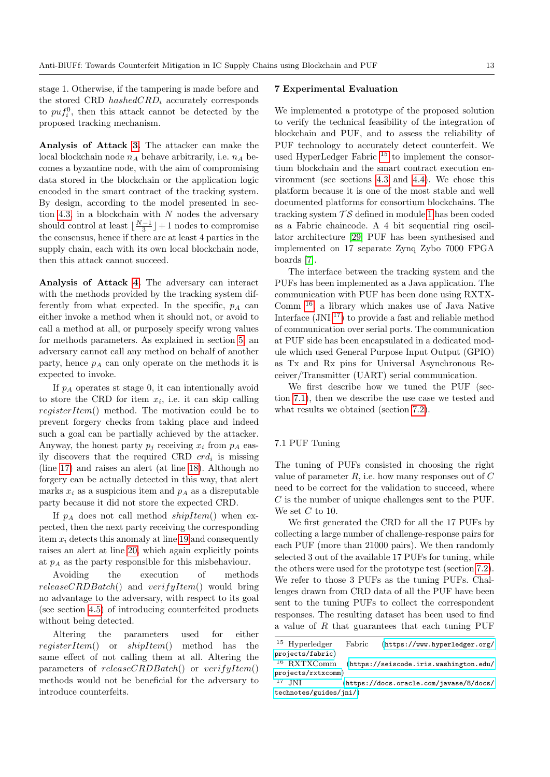stage 1. Otherwise, if the tampering is made before and the stored CRD hashedCRD<sub>i</sub> accurately corresponds to  $puf_i^0$ , then this attack cannot be detected by the proposed tracking mechanism.

Analysis of Attack [3.](#page-11-6) The attacker can make the local blockchain node  $n_A$  behave arbitrarily, i.e.  $n_A$  becomes a byzantine node, with the aim of compromising data stored in the blockchain or the application logic encoded in the smart contract of the tracking system. By design, according to the model presented in sec-tion [4.3,](#page-6-0) in a blockchain with  $N$  nodes the adversary should control at least  $\lfloor \frac{N-1}{3} \rfloor + 1$  nodes to compromise the consensus, hence if there are at least 4 parties in the supply chain, each with its own local blockchain node, then this attack cannot succeed.

Analysis of Attack [4.](#page-11-1) The adversary can interact with the methods provided by the tracking system differently from what expected. In the specific,  $p_A$  can either invoke a method when it should not, or avoid to call a method at all, or purposely specify wrong values for methods parameters. As explained in section [5,](#page-7-0) an adversary cannot call any method on behalf of another party, hence  $p_A$  can only operate on the methods it is expected to invoke.

If  $p_A$  operates st stage 0, it can intentionally avoid to store the CRD for item  $x_i$ , i.e. it can skip calling registerItem() method. The motivation could be to prevent forgery checks from taking place and indeed such a goal can be partially achieved by the attacker. Anyway, the honest party  $p_i$  receiving  $x_i$  from  $p_A$  easily discovers that the required CRD  $crd_i$  is missing (line [17\)](#page-9-0) and raises an alert (at line [18\)](#page-9-0). Although no forgery can be actually detected in this way, that alert marks  $x_i$  as a suspicious item and  $p_A$  as a disreputable party because it did not store the expected CRD.

If  $p_A$  does not call method  $shipItem()$  when expected, then the next party receiving the corresponding item  $x_i$  detects this anomaly at line [19](#page-9-0) and consequently raises an alert at line [20,](#page-9-0) which again explicitly points at  $p_A$  as the party responsible for this misbehaviour.

Avoiding the execution of methods  $releaseCRDBatch()$  and  $verifyItem()$  would bring no advantage to the adversary, with respect to its goal (see section [4.5\)](#page-7-1) of introducing counterfeited products without being detected.

Altering the parameters used for either registerItem() or shipItem() method has the same effect of not calling them at all. Altering the parameters of *releaseCRDBatch*() or *verifyItem*() methods would not be beneficial for the adversary to introduce counterfeits.

#### <span id="page-12-0"></span>7 Experimental Evaluation

We implemented a prototype of the proposed solution to verify the technical feasibility of the integration of blockchain and PUF, and to assess the reliability of PUF technology to accurately detect counterfeit. We used HyperLedger Fabric  $15$  to implement the consortium blockchain and the smart contract execution environment (see sections [4.3](#page-6-0) and [4.4\)](#page-6-1). We chose this platform because it is one of the most stable and well documented platforms for consortium blockchains. The tracking system  $TS$  defined in module [1](#page-9-0) has been coded as a Fabric chaincode. A 4 bit sequential ring oscillator architecture [\[29\]](#page-17-15) PUF has been synthesised and implemented on 17 separate Zynq Zybo 7000 FPGA boards [\[7\]](#page-16-10).

The interface between the tracking system and the PUFs has been implemented as a Java application. The communication with PUF has been done using RXTX-Comm  $^{16}$  $^{16}$  $^{16}$ , a library which makes use of Java Native Interface  $\left(\text{JNI} \right)^{17}$  $\left(\text{JNI} \right)^{17}$  $\left(\text{JNI} \right)^{17}$  to provide a fast and reliable method of communication over serial ports. The communication at PUF side has been encapsulated in a dedicated module which used General Purpose Input Output (GPIO) as Tx and Rx pins for Universal Asynchronous Receiver/Transmitter (UART) serial communication.

We first describe how we tuned the PUF (section [7.1\)](#page-12-4), then we describe the use case we tested and what results we obtained (section [7.2\)](#page-13-1).

# <span id="page-12-4"></span>7.1 PUF Tuning

The tuning of PUFs consisted in choosing the right value of parameter  $R$ , i.e. how many responses out of  $C$ need to be correct for the validation to succeed, where  $C$  is the number of unique challenges sent to the PUF. We set  $C$  to 10.

We first generated the CRD for all the 17 PUFs by collecting a large number of challenge-response pairs for each PUF (more than 21000 pairs). We then randomly selected 3 out of the available 17 PUFs for tuning, while the others were used for the prototype test (section [7.2\)](#page-13-1). We refer to those 3 PUFs as the tuning PUFs. Challenges drawn from CRD data of all the PUF have been sent to the tuning PUFs to collect the correspondent responses. The resulting dataset has been used to find a value of  $R$  that guarantees that each tuning PUF

<span id="page-12-1"></span><sup>15</sup> Hyperledger Fabric ([https://www.hyperledger.org/](https://www.hyperledger.org/projects/fabric) [projects/fabric](https://www.hyperledger.org/projects/fabric))

<span id="page-12-2"></span><sup>16</sup> RXTXComm ([https://seiscode.iris.washington.edu/](https://seiscode.iris.washington.edu/projects/rxtxcomm) [projects/rxtxcomm](https://seiscode.iris.washington.edu/projects/rxtxcomm))<br><sup>17</sup> JNI

<span id="page-12-3"></span><sup>(</sup>[https://docs.oracle.com/javase/8/docs/](https://docs.oracle.com/javase/8/docs/technotes/guides/jni/) [technotes/guides/jni/](https://docs.oracle.com/javase/8/docs/technotes/guides/jni/))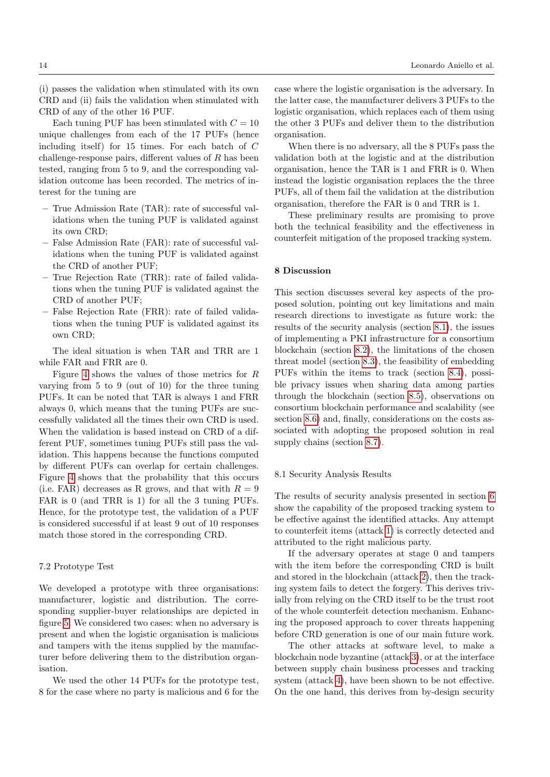(i) passes the validation when stimulated with its own CRD and (ii) fails the validation when stimulated with CRD of any of the other 16 PUF.

Each tuning PUF has been stimulated with  $C = 10$ unique challenges from each of the 17 PUFs (hence including itself) for 15 times. For each batch of C challenge-response pairs, different values of  $R$  has been tested, ranging from 5 to 9, and the corresponding validation outcome has been recorded. The metrics of interest for the tuning are

- True Admission Rate (TAR): rate of successful validations when the tuning PUF is validated against its own CRD;
- False Admission Rate (FAR): rate of successful validations when the tuning PUF is validated against the CRD of another PUF;
- True Rejection Rate (TRR): rate of failed validations when the tuning PUF is validated against the CRD of another PUF;
- False Rejection Rate (FRR): rate of failed validations when the tuning PUF is validated against its own CRD;

The ideal situation is when TAR and TRR are 1 while FAR and FRR are 0.

Figure [4](#page-14-0) shows the values of those metrics for R varying from 5 to 9 (out of 10) for the three tuning PUFs. It can be noted that TAR is always 1 and FRR always 0, which means that the tuning PUFs are successfully validated all the times their own CRD is used. When the validation is based instead on CRD of a different PUF, sometimes tuning PUFs still pass the validation. This happens because the functions computed by different PUFs can overlap for certain challenges. Figure [4](#page-14-0) shows that the probability that this occurs (i.e. FAR) decreases as R grows, and that with  $R = 9$ FAR is 0 (and TRR is 1) for all the 3 tuning PUFs. Hence, for the prototype test, the validation of a PUF is considered successful if at least 9 out of 10 responses match those stored in the corresponding CRD.

#### <span id="page-13-1"></span>7.2 Prototype Test

We developed a prototype with three organisations: manufacturer, logistic and distribution. The corresponding supplier-buyer relationships are depicted in figure [5.](#page-14-1) We considered two cases: when no adversary is present and when the logistic organisation is malicious and tampers with the items supplied by the manufacturer before delivering them to the distribution organisation.

We used the other 14 PUFs for the prototype test, 8 for the case where no party is malicious and 6 for the

case where the logistic organisation is the adversary. In the latter case, the manufacturer delivers 3 PUFs to the logistic organisation, which replaces each of them using the other 3 PUFs and deliver them to the distribution organisation.

When there is no adversary, all the 8 PUFs pass the validation both at the logistic and at the distribution organisation, hence the TAR is 1 and FRR is 0. When instead the logistic organisation replaces the the three PUFs, all of them fail the validation at the distribution organisation, therefore the FAR is 0 and TRR is 1.

These preliminary results are promising to prove both the technical feasibility and the effectiveness in counterfeit mitigation of the proposed tracking system.

#### <span id="page-13-0"></span>8 Discussion

This section discusses several key aspects of the proposed solution, pointing out key limitations and main research directions to investigate as future work: the results of the security analysis (section [8.1\)](#page-13-2), the issues of implementing a PKI infrastructure for a consortium blockchain (section [8.2\)](#page-14-2), the limitations of the chosen threat model (section [8.3\)](#page-14-3), the feasibility of embedding PUFs within the items to track (section [8.4\)](#page-14-4), possible privacy issues when sharing data among parties through the blockchain (section [8.5\)](#page-15-1), observations on consortium blockchain performance and scalability (see section [8.6\)](#page-15-2) and, finally, considerations on the costs associated with adopting the proposed solution in real supply chains (section [8.7\)](#page-15-3).

# <span id="page-13-2"></span>8.1 Security Analysis Results

The results of security analysis presented in section [6](#page-11-0) show the capability of the proposed tracking system to be effective against the identified attacks. Any attempt to counterfeit items (attack [1\)](#page-11-4) is correctly detected and attributed to the right malicious party.

If the adversary operates at stage 0 and tampers with the item before the corresponding CRD is built and stored in the blockchain (attack [2\)](#page-11-5), then the tracking system fails to detect the forgery. This derives trivially from relying on the CRD itself to be the trust root of the whole counterfeit detection mechanism. Enhancing the proposed approach to cover threats happening before CRD generation is one of our main future work.

The other attacks at software level, to make a blockchain node byzantine (attack [3\)](#page-11-6), or at the interface between supply chain business processes and tracking system (attack [4\)](#page-11-1), have been shown to be not effective. On the one hand, this derives from by-design security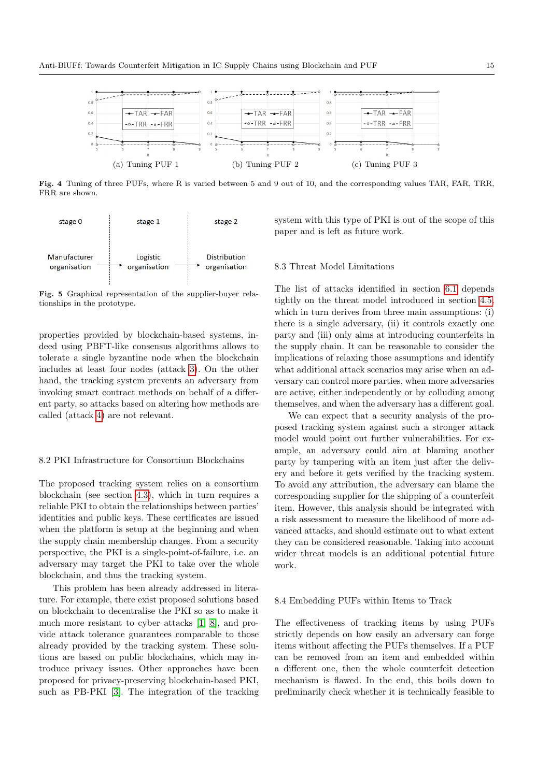

Fig. 4 Tuning of three PUFs, where R is varied between 5 and 9 out of 10, and the corresponding values TAR, FAR, TRR, FRR are shown.



Fig. 5 Graphical representation of the supplier-buyer relationships in the prototype.

properties provided by blockchain-based systems, indeed using PBFT-like consensus algorithms allows to tolerate a single byzantine node when the blockchain includes at least four nodes (attack [3\)](#page-11-6). On the other hand, the tracking system prevents an adversary from invoking smart contract methods on behalf of a different party, so attacks based on altering how methods are called (attack [4\)](#page-11-1) are not relevant.

# <span id="page-14-2"></span>8.2 PKI Infrastructure for Consortium Blockchains

The proposed tracking system relies on a consortium blockchain (see section [4.3\)](#page-6-0), which in turn requires a reliable PKI to obtain the relationships between parties' identities and public keys. These certificates are issued when the platform is setup at the beginning and when the supply chain membership changes. From a security perspective, the PKI is a single-point-of-failure, i.e. an adversary may target the PKI to take over the whole blockchain, and thus the tracking system.

This problem has been already addressed in literature. For example, there exist proposed solutions based on blockchain to decentralise the PKI so as to make it much more resistant to cyber attacks [\[1,](#page-16-11) [8\]](#page-16-12), and provide attack tolerance guarantees comparable to those already provided by the tracking system. These solutions are based on public blockchains, which may introduce privacy issues. Other approaches have been proposed for privacy-preserving blockchain-based PKI, such as PB-PKI [\[3\]](#page-16-13). The integration of the tracking <span id="page-14-0"></span>system with this type of PKI is out of the scope of this paper and is left as future work.

# <span id="page-14-3"></span>8.3 Threat Model Limitations

<span id="page-14-1"></span>The list of attacks identified in section [6.1](#page-11-2) depends tightly on the threat model introduced in section [4.5,](#page-7-1) which in turn derives from three main assumptions: (i) there is a single adversary, (ii) it controls exactly one party and (iii) only aims at introducing counterfeits in the supply chain. It can be reasonable to consider the implications of relaxing those assumptions and identify what additional attack scenarios may arise when an adversary can control more parties, when more adversaries are active, either independently or by colluding among themselves, and when the adversary has a different goal.

We can expect that a security analysis of the proposed tracking system against such a stronger attack model would point out further vulnerabilities. For example, an adversary could aim at blaming another party by tampering with an item just after the delivery and before it gets verified by the tracking system. To avoid any attribution, the adversary can blame the corresponding supplier for the shipping of a counterfeit item. However, this analysis should be integrated with a risk assessment to measure the likelihood of more advanced attacks, and should estimate out to what extent they can be considered reasonable. Taking into account wider threat models is an additional potential future work.

#### <span id="page-14-4"></span>8.4 Embedding PUFs within Items to Track

The effectiveness of tracking items by using PUFs strictly depends on how easily an adversary can forge items without affecting the PUFs themselves. If a PUF can be removed from an item and embedded within a different one, then the whole counterfeit detection mechanism is flawed. In the end, this boils down to preliminarily check whether it is technically feasible to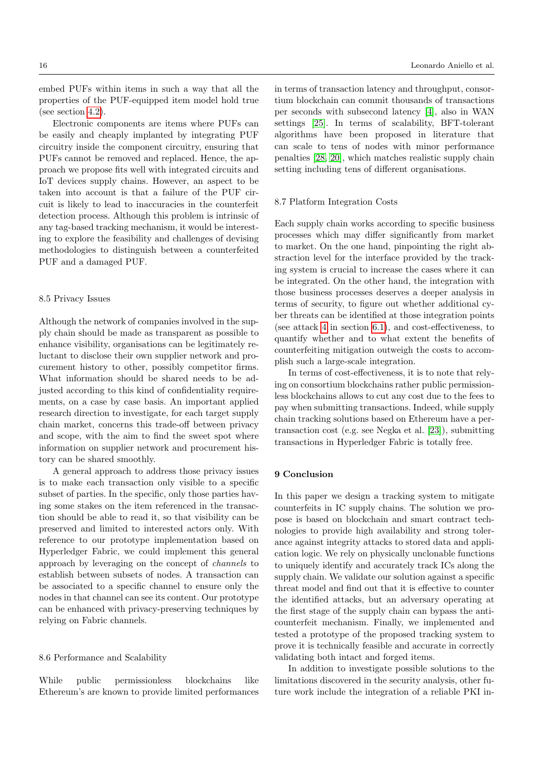embed PUFs within items in such a way that all the properties of the PUF-equipped item model hold true (see section [4.2\)](#page-5-2).

Electronic components are items where PUFs can be easily and cheaply implanted by integrating PUF circuitry inside the component circuitry, ensuring that PUFs cannot be removed and replaced. Hence, the approach we propose fits well with integrated circuits and IoT devices supply chains. However, an aspect to be taken into account is that a failure of the PUF circuit is likely to lead to inaccuracies in the counterfeit detection process. Although this problem is intrinsic of any tag-based tracking mechanism, it would be interesting to explore the feasibility and challenges of devising methodologies to distinguish between a counterfeited PUF and a damaged PUF.

#### <span id="page-15-1"></span>8.5 Privacy Issues

Although the network of companies involved in the supply chain should be made as transparent as possible to enhance visibility, organisations can be legitimately reluctant to disclose their own supplier network and procurement history to other, possibly competitor firms. What information should be shared needs to be adjusted according to this kind of confidentiality requirements, on a case by case basis. An important applied research direction to investigate, for each target supply chain market, concerns this trade-off between privacy and scope, with the aim to find the sweet spot where information on supplier network and procurement history can be shared smoothly.

A general approach to address those privacy issues is to make each transaction only visible to a specific subset of parties. In the specific, only those parties having some stakes on the item referenced in the transaction should be able to read it, so that visibility can be preserved and limited to interested actors only. With reference to our prototype implementation based on Hyperledger Fabric, we could implement this general approach by leveraging on the concept of channels to establish between subsets of nodes. A transaction can be associated to a specific channel to ensure only the nodes in that channel can see its content. Our prototype can be enhanced with privacy-preserving techniques by relying on Fabric channels.

#### <span id="page-15-2"></span>8.6 Performance and Scalability

While public permissionless blockchains like Ethereum's are known to provide limited performances in terms of transaction latency and throughput, consortium blockchain can commit thousands of transactions per seconds with subsecond latency [\[4\]](#page-16-14), also in WAN settings [\[25\]](#page-17-16). In terms of scalability, BFT-tolerant algorithms have been proposed in literature that can scale to tens of nodes with minor performance penalties [\[28,](#page-17-14) [20\]](#page-17-17), which matches realistic supply chain setting including tens of different organisations.

# <span id="page-15-3"></span>8.7 Platform Integration Costs

Each supply chain works according to specific business processes which may differ significantly from market to market. On the one hand, pinpointing the right abstraction level for the interface provided by the tracking system is crucial to increase the cases where it can be integrated. On the other hand, the integration with those business processes deserves a deeper analysis in terms of security, to figure out whether additional cyber threats can be identified at those integration points (see attack [4](#page-11-1) in section [6.1\)](#page-11-2), and cost-effectiveness, to quantify whether and to what extent the benefits of counterfeiting mitigation outweigh the costs to accomplish such a large-scale integration.

In terms of cost-effectiveness, it is to note that relying on consortium blockchains rather public permissionless blockchains allows to cut any cost due to the fees to pay when submitting transactions. Indeed, while supply chain tracking solutions based on Ethereum have a pertransaction cost (e.g. see Negka et al. [\[23\]](#page-17-8)), submitting transactions in Hyperledger Fabric is totally free.

#### <span id="page-15-0"></span>9 Conclusion

In this paper we design a tracking system to mitigate counterfeits in IC supply chains. The solution we propose is based on blockchain and smart contract technologies to provide high availability and strong tolerance against integrity attacks to stored data and application logic. We rely on physically unclonable functions to uniquely identify and accurately track ICs along the supply chain. We validate our solution against a specific threat model and find out that it is effective to counter the identified attacks, but an adversary operating at the first stage of the supply chain can bypass the anticounterfeit mechanism. Finally, we implemented and tested a prototype of the proposed tracking system to prove it is technically feasible and accurate in correctly validating both intact and forged items.

In addition to investigate possible solutions to the limitations discovered in the security analysis, other future work include the integration of a reliable PKI in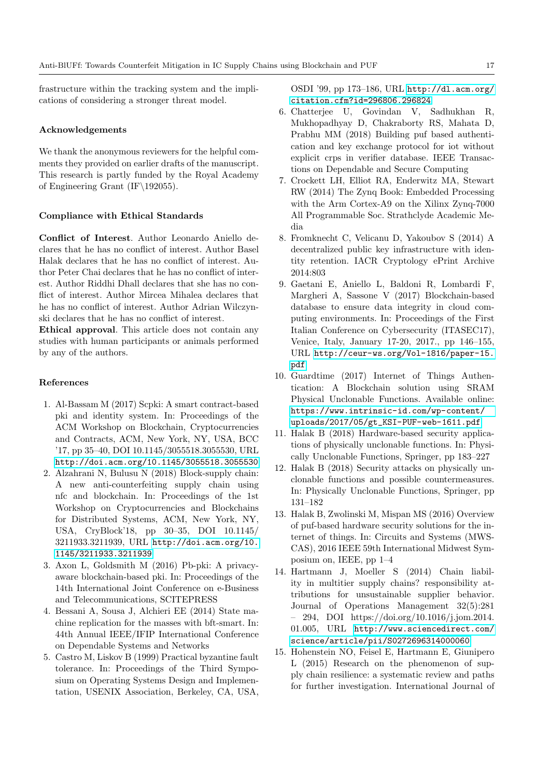frastructure within the tracking system and the implications of considering a stronger threat model.

# Acknowledgements

We thank the anonymous reviewers for the helpful comments they provided on earlier drafts of the manuscript. This research is partly funded by the Royal Academy of Engineering Grant (IF\192055).

# Compliance with Ethical Standards

Conflict of Interest. Author Leonardo Aniello declares that he has no conflict of interest. Author Basel Halak declares that he has no conflict of interest. Author Peter Chai declares that he has no conflict of interest. Author Riddhi Dhall declares that she has no conflict of interest. Author Mircea Mihalea declares that he has no conflict of interest. Author Adrian Wilczynski declares that he has no conflict of interest.

Ethical approval. This article does not contain any studies with human participants or animals performed by any of the authors.

#### References

- <span id="page-16-11"></span>1. Al-Bassam M (2017) Scpki: A smart contract-based pki and identity system. In: Proceedings of the ACM Workshop on Blockchain, Cryptocurrencies and Contracts, ACM, New York, NY, USA, BCC '17, pp 35–40, DOI 10.1145/3055518.3055530, URL <http://doi.acm.org/10.1145/3055518.3055530>
- <span id="page-16-2"></span>2. Alzahrani N, Bulusu N (2018) Block-supply chain: A new anti-counterfeiting supply chain using nfc and blockchain. In: Proceedings of the 1st Workshop on Cryptocurrencies and Blockchains for Distributed Systems, ACM, New York, NY, USA, CryBlock'18, pp 30–35, DOI 10.1145/ 3211933.3211939, URL [http://doi.acm.org/10.](http://doi.acm.org/10.1145/3211933.3211939) [1145/3211933.3211939](http://doi.acm.org/10.1145/3211933.3211939)
- <span id="page-16-13"></span>3. Axon L, Goldsmith M (2016) Pb-pki: A privacyaware blockchain-based pki. In: Proceedings of the 14th International Joint Conference on e-Business and Telecommunications, SCITEPRESS
- <span id="page-16-14"></span>4. Bessani A, Sousa J, Alchieri EE (2014) State machine replication for the masses with bft-smart. In: 44th Annual IEEE/IFIP International Conference on Dependable Systems and Networks
- <span id="page-16-8"></span>5. Castro M, Liskov B (1999) Practical byzantine fault tolerance. In: Proceedings of the Third Symposium on Operating Systems Design and Implementation, USENIX Association, Berkeley, CA, USA,

OSDI '99, pp 173–186, URL [http://dl.acm.org/](http://dl.acm.org/citation.cfm?id=296806.296824) [citation.cfm?id=296806.296824](http://dl.acm.org/citation.cfm?id=296806.296824)

- <span id="page-16-5"></span>6. Chatterjee U, Govindan V, Sadhukhan R, Mukhopadhyay D, Chakraborty RS, Mahata D, Prabhu MM (2018) Building puf based authentication and key exchange protocol for iot without explicit crps in verifier database. IEEE Transactions on Dependable and Secure Computing
- <span id="page-16-10"></span>7. Crockett LH, Elliot RA, Enderwitz MA, Stewart RW (2014) The Zynq Book: Embedded Processing with the Arm Cortex-A9 on the Xilinx Zynq-7000 All Programmable Soc. Strathclyde Academic Media
- <span id="page-16-12"></span>8. Fromknecht C, Velicanu D, Yakoubov S (2014) A decentralized public key infrastructure with identity retention. IACR Cryptology ePrint Archive 2014:803
- <span id="page-16-9"></span>9. Gaetani E, Aniello L, Baldoni R, Lombardi F, Margheri A, Sassone V (2017) Blockchain-based database to ensure data integrity in cloud computing environments. In: Proceedings of the First Italian Conference on Cybersecurity (ITASEC17), Venice, Italy, January 17-20, 2017., pp 146–155, URL [http://ceur-ws.org/Vol-1816/paper-15.](http://ceur-ws.org/Vol-1816/paper-15.pdf) [pdf](http://ceur-ws.org/Vol-1816/paper-15.pdf)
- <span id="page-16-3"></span>10. Guardtime (2017) Internet of Things Authentication: A Blockchain solution using SRAM Physical Unclonable Functions. Available online: [https://www.intrinsic-id.com/wp-content/](https://www.intrinsic-id.com/wp-content/uploads/2017/05/gt_KSI-PUF-web-1611.pdf) [uploads/2017/05/gt\\_KSI-PUF-web-1611.pdf](https://www.intrinsic-id.com/wp-content/uploads/2017/05/gt_KSI-PUF-web-1611.pdf)
- <span id="page-16-6"></span>11. Halak B (2018) Hardware-based security applications of physically unclonable functions. In: Physically Unclonable Functions, Springer, pp 183–227
- <span id="page-16-7"></span>12. Halak B (2018) Security attacks on physically unclonable functions and possible countermeasures. In: Physically Unclonable Functions, Springer, pp 131–182
- <span id="page-16-4"></span>13. Halak B, Zwolinski M, Mispan MS (2016) Overview of puf-based hardware security solutions for the internet of things. In: Circuits and Systems (MWS-CAS), 2016 IEEE 59th International Midwest Symposium on, IEEE, pp 1–4
- <span id="page-16-1"></span>14. Hartmann J, Moeller S (2014) Chain liability in multitier supply chains? responsibility attributions for unsustainable supplier behavior. Journal of Operations Management 32(5):281 – 294, DOI https://doi.org/10.1016/j.jom.2014. 01.005, URL [http://www.sciencedirect.com/](http://www.sciencedirect.com/science/article/pii/S0272696314000060) [science/article/pii/S0272696314000060](http://www.sciencedirect.com/science/article/pii/S0272696314000060)
- <span id="page-16-0"></span>15. Hohenstein NO, Feisel E, Hartmann E, Giunipero L (2015) Research on the phenomenon of supply chain resilience: a systematic review and paths for further investigation. International Journal of